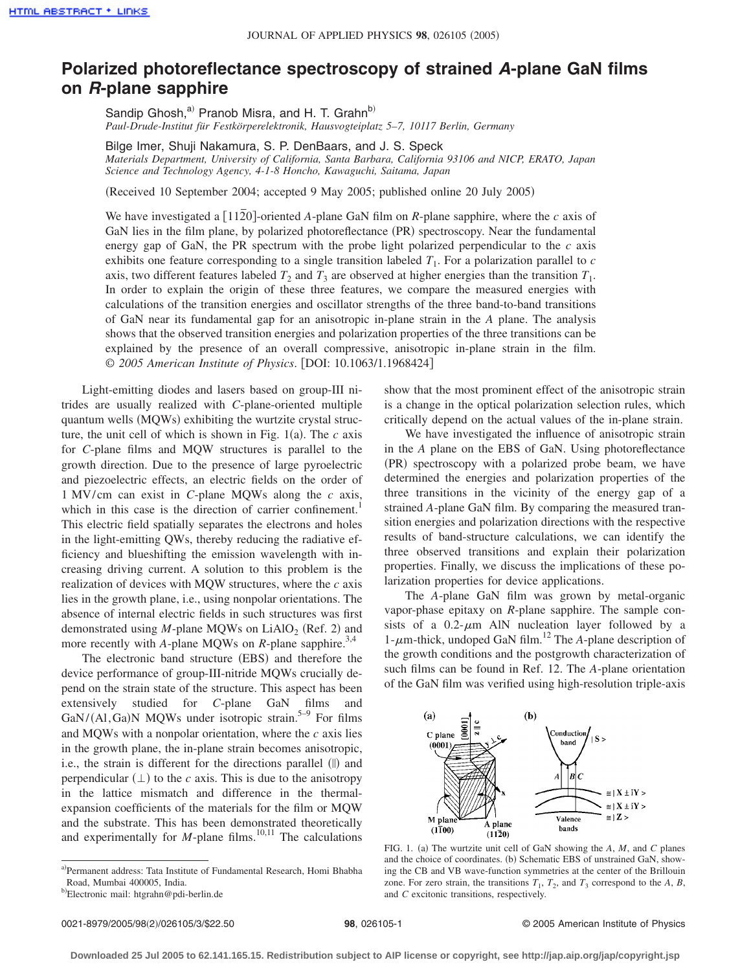## **Polarized photoreflectance spectroscopy of strained** *A***-plane GaN films on** *R***-plane sapphire**

Sandip Ghosh,<sup>a)</sup> Pranob Misra, and H. T. Grahn<sup>b)</sup> *Paul-Drude-Institut für Festkörperelektronik, Hausvogteiplatz 5–7, 10117 Berlin, Germany*

Bilge Imer, Shuji Nakamura, S. P. DenBaars, and J. S. Speck *Materials Department, University of California, Santa Barbara, California 93106 and NICP, ERATO, Japan Science and Technology Agency, 4-1-8 Honcho, Kawaguchi, Saitama, Japan*

(Received 10 September 2004; accepted 9 May 2005; published online 20 July 2005)

We have investigated a  $\lceil 1120 \rceil$ -oriented *A*-plane GaN film on *R*-plane sapphire, where the *c* axis of GaN lies in the film plane, by polarized photoreflectance (PR) spectroscopy. Near the fundamental energy gap of GaN, the PR spectrum with the probe light polarized perpendicular to the  $c$  axis exhibits one feature corresponding to a single transition labeled *T*1. For a polarization parallel to *c* axis, two different features labeled  $T_2$  and  $T_3$  are observed at higher energies than the transition  $T_1$ . In order to explain the origin of these three features, we compare the measured energies with calculations of the transition energies and oscillator strengths of the three band-to-band transitions of GaN near its fundamental gap for an anisotropic in-plane strain in the *A* plane. The analysis shows that the observed transition energies and polarization properties of the three transitions can be explained by the presence of an overall compressive, anisotropic in-plane strain in the film. © *2005 American Institute of Physics*. DOI: 10.1063/1.1968424

Light-emitting diodes and lasers based on group-III nitrides are usually realized with *C*-plane-oriented multiple quantum wells (MQWs) exhibiting the wurtzite crystal structure, the unit cell of which is shown in Fig.  $1(a)$ . The  $c$  axis for *C*-plane films and MQW structures is parallel to the growth direction. Due to the presence of large pyroelectric and piezoelectric effects, an electric fields on the order of 1 MV/cm can exist in *C*-plane MQWs along the *c* axis, which in this case is the direction of carrier confinement.<sup>1</sup> This electric field spatially separates the electrons and holes in the light-emitting QWs, thereby reducing the radiative efficiency and blueshifting the emission wavelength with increasing driving current. A solution to this problem is the realization of devices with MQW structures, where the *c* axis lies in the growth plane, i.e., using nonpolar orientations. The absence of internal electric fields in such structures was first demonstrated using *M*-plane MQWs on  $LiAlO<sub>2</sub>$  (Ref. 2) and more recently with *A*-plane MQWs on *R*-plane sapphire.<sup>3,4</sup>

The electronic band structure (EBS) and therefore the device performance of group-III-nitride MQWs crucially depend on the strain state of the structure. This aspect has been extensively studied for *C*-plane GaN films and  $\text{GaN}/(\text{Al},\text{Ga})\text{N}$  MQWs under isotropic strain.<sup>5–9</sup> For films and MQWs with a nonpolar orientation, where the *c* axis lies in the growth plane, the in-plane strain becomes anisotropic, i.e., the strain is different for the directions parallel (||) and perpendicular  $(\perp)$  to the *c* axis. This is due to the anisotropy in the lattice mismatch and difference in the thermalexpansion coefficients of the materials for the film or MQW and the substrate. This has been demonstrated theoretically and experimentally for  $M$ -plane films.<sup>10,11</sup> The calculations show that the most prominent effect of the anisotropic strain is a change in the optical polarization selection rules, which critically depend on the actual values of the in-plane strain.

We have investigated the influence of anisotropic strain in the *A* plane on the EBS of GaN. Using photoreflectance (PR) spectroscopy with a polarized probe beam, we have determined the energies and polarization properties of the three transitions in the vicinity of the energy gap of a strained *A*-plane GaN film. By comparing the measured transition energies and polarization directions with the respective results of band-structure calculations, we can identify the three observed transitions and explain their polarization properties. Finally, we discuss the implications of these polarization properties for device applications.

The *A*-plane GaN film was grown by metal-organic vapor-phase epitaxy on *R*-plane sapphire. The sample consists of a  $0.2$ - $\mu$ m AlN nucleation layer followed by a 1- $\mu$ m-thick, undoped GaN film.<sup>12</sup> The *A*-plane description of the growth conditions and the postgrowth characterization of such films can be found in Ref. 12. The *A*-plane orientation of the GaN film was verified using high-resolution triple-axis



FIG. 1. (a) The wurtzite unit cell of GaN showing the *A*, *M*, and *C* planes and the choice of coordinates. (b) Schematic EBS of unstrained GaN, showing the CB and VB wave-function symmetries at the center of the Brillouin zone. For zero strain, the transitions  $T_1$ ,  $T_2$ , and  $T_3$  correspond to the A, B, and *C* excitonic transitions, respectively.

a)Permanent address: Tata Institute of Fundamental Research, Homi Bhabha Road, Mumbai 400005, India.

<sup>&</sup>lt;sup>b)</sup>Electronic mail: htgrahn@pdi-berlin.de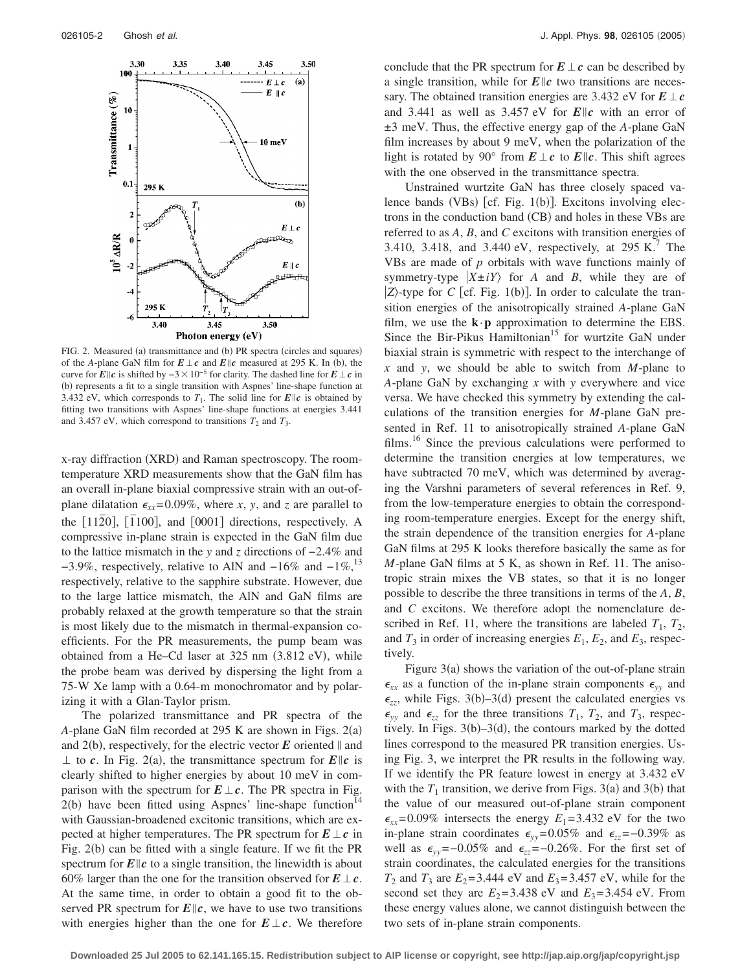

FIG. 2. Measured (a) transmittance and (b) PR spectra (circles and squares) of the *A*-plane GaN film for  $E \perp c$  and  $E \parallel c$  measured at 295 K. In (b), the curve for *E|c* is shifted by  $-3 \times 10^{-5}$  for clarity. The dashed line for *E* ⊥ *c* in (b) represents a fit to a single transition with Aspnes' line-shape function at 3.432 eV, which corresponds to  $T_1$ . The solid line for  $E||c$  is obtained by fitting two transitions with Aspnes' line-shape functions at energies 3.441 and 3.457 eV, which correspond to transitions  $T_2$  and  $T_3$ .

x-ray diffraction (XRD) and Raman spectroscopy. The roomtemperature XRD measurements show that the GaN film has an overall in-plane biaxial compressive strain with an out-ofplane dilatation  $\epsilon_{xx} = 0.09\%$ , where *x*, *y*, and *z* are parallel to the  $[11\overline{2}0]$ ,  $[1100]$ , and  $[0001]$  directions, respectively. A compressive in-plane strain is expected in the GaN film due to the lattice mismatch in the *y* and *z* directions of −2.4% and  $-3.9\%$ , respectively, relative to AlN and  $-16\%$  and  $-1\%$ ,<sup>13</sup> respectively, relative to the sapphire substrate. However, due to the large lattice mismatch, the AlN and GaN films are probably relaxed at the growth temperature so that the strain is most likely due to the mismatch in thermal-expansion coefficients. For the PR measurements, the pump beam was obtained from a He-Cd laser at 325 nm (3.812 eV), while the probe beam was derived by dispersing the light from a 75-W Xe lamp with a 0.64-m monochromator and by polarizing it with a Glan-Taylor prism.

The polarized transmittance and PR spectra of the A-plane GaN film recorded at 295 K are shown in Figs. 2(a) and  $2(b)$ , respectively, for the electric vector  $E$  oriented  $\parallel$  and  $\perp$  to *c*. In Fig. 2(a), the transmittance spectrum for *E||c* is clearly shifted to higher energies by about 10 meV in comparison with the spectrum for  $E \perp c$ . The PR spectra in Fig.  $2(b)$  have been fitted using Aspnes' line-shape function<sup>14</sup> with Gaussian-broadened excitonic transitions, which are expected at higher temperatures. The PR spectrum for  $E \perp c$  in Fig. 2(b) can be fitted with a single feature. If we fit the PR spectrum for  $E||c$  to a single transition, the linewidth is about 60% larger than the one for the transition observed for  $E \perp c$ . At the same time, in order to obtain a good fit to the observed PR spectrum for  $E||c$ , we have to use two transitions with energies higher than the one for  $E \perp c$ . We therefore conclude that the PR spectrum for  $E \perp c$  can be described by a single transition, while for  $E\|c\|$  two transitions are necessary. The obtained transition energies are 3.432 eV for  $E \perp c$ and 3.441 as well as 3.457 eV for  $E||c$  with an error of ±3 meV. Thus, the effective energy gap of the *A*-plane GaN film increases by about 9 meV, when the polarization of the light is rotated by 90° from  $E \perp c$  to  $E || c$ . This shift agrees with the one observed in the transmittance spectra.

Unstrained wurtzite GaN has three closely spaced valence bands (VBs) [cf. Fig. 1(b)]. Excitons involving electrons in the conduction band (CB) and holes in these VBs are referred to as *A*, *B*, and *C* excitons with transition energies of 3.410, 3.418, and 3.440 eV, respectively, at  $295 \text{ K}$ . The VBs are made of *p* orbitals with wave functions mainly of symmetry-type  $|X \pm iY\rangle$  for *A* and *B*, while they are of  $|Z\rangle$ -type for *C* [cf. Fig. 1(b)]. In order to calculate the transition energies of the anisotropically strained *A*-plane GaN film, we use the  $\mathbf{k} \cdot \mathbf{p}$  approximation to determine the EBS. Since the Bir-Pikus Hamiltonian<sup>15</sup> for wurtzite GaN under biaxial strain is symmetric with respect to the interchange of *x* and *y*, we should be able to switch from *M*-plane to *A*-plane GaN by exchanging *x* with *y* everywhere and vice versa. We have checked this symmetry by extending the calculations of the transition energies for *M*-plane GaN presented in Ref. 11 to anisotropically strained *A*-plane GaN films.<sup>16</sup> Since the previous calculations were performed to determine the transition energies at low temperatures, we have subtracted 70 meV, which was determined by averaging the Varshni parameters of several references in Ref. 9, from the low-temperature energies to obtain the corresponding room-temperature energies. Except for the energy shift, the strain dependence of the transition energies for *A*-plane GaN films at 295 K looks therefore basically the same as for *M*-plane GaN films at 5 K, as shown in Ref. 11. The anisotropic strain mixes the VB states, so that it is no longer possible to describe the three transitions in terms of the *A*, *B*, and *C* excitons. We therefore adopt the nomenclature described in Ref. 11, where the transitions are labeled  $T_1$ ,  $T_2$ , and  $T_3$  in order of increasing energies  $E_1$ ,  $E_2$ , and  $E_3$ , respectively.

Figure  $3(a)$  shows the variation of the out-of-plane strain  $\epsilon_{xx}$  as a function of the in-plane strain components  $\epsilon_{yy}$  and  $\epsilon_{zz}$ , while Figs. 3(b)–3(d) present the calculated energies vs  $\epsilon_{yy}$  and  $\epsilon_{zz}$  for the three transitions  $T_1$ ,  $T_2$ , and  $T_3$ , respectively. In Figs.  $3(b)-3(d)$ , the contours marked by the dotted lines correspond to the measured PR transition energies. Using Fig. 3, we interpret the PR results in the following way. If we identify the PR feature lowest in energy at 3.432 eV with the  $T_1$  transition, we derive from Figs. 3(a) and 3(b) that the value of our measured out-of-plane strain component  $\epsilon_{xx}$ =0.09% intersects the energy  $E_1$ =3.432 eV for the two in-plane strain coordinates  $\epsilon_{yy}$ =0.05% and  $\epsilon_{zz}$ =-0.39% as well as  $\epsilon_{yy}$ =−0.05% and  $\epsilon_{zz}$ =−0.26%. For the first set of strain coordinates, the calculated energies for the transitions *T*<sub>2</sub> and *T*<sub>3</sub> are *E*<sub>2</sub>= 3.444 eV and *E*<sub>3</sub>= 3.457 eV, while for the second set they are  $E_2 = 3.438$  eV and  $E_3 = 3.454$  eV. From these energy values alone, we cannot distinguish between the two sets of in-plane strain components.